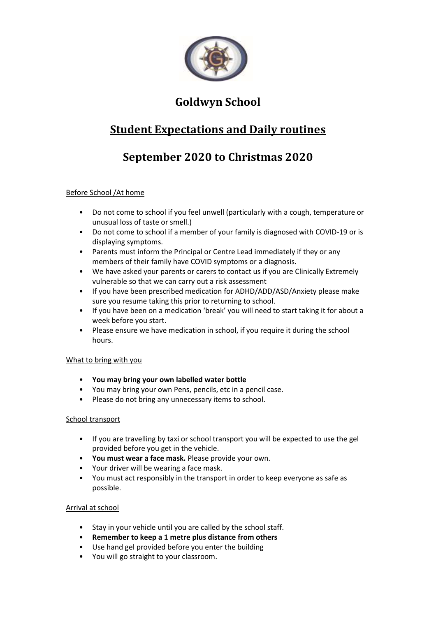

## **Goldwyn School**

## **Student Expectations and Daily routines**

# **September 2020 to Christmas 2020**

### Before School /At home

- Do not come to school if you feel unwell (particularly with a cough, temperature or unusual loss of taste or smell.)
- Do not come to school if a member of your family is diagnosed with COVID-19 or is displaying symptoms.
- Parents must inform the Principal or Centre Lead immediately if they or any members of their family have COVID symptoms or a diagnosis.
- We have asked your parents or carers to contact us if you are Clinically Extremely vulnerable so that we can carry out a risk assessment
- If you have been prescribed medication for ADHD/ADD/ASD/Anxiety please make sure you resume taking this prior to returning to school.
- If you have been on a medication 'break' you will need to start taking it for about a week before you start.
- Please ensure we have medication in school, if you require it during the school hours.

#### What to bring with you

- **You may bring your own labelled water bottle**
- You may bring your own Pens, pencils, etc in a pencil case.
- Please do not bring any unnecessary items to school.

#### School transport

- If you are travelling by taxi or school transport you will be expected to use the gel provided before you get in the vehicle.
- **You must wear a face mask.** Please provide your own.
- Your driver will be wearing a face mask.
- You must act responsibly in the transport in order to keep everyone as safe as possible.

#### Arrival at school

- Stay in your vehicle until you are called by the school staff.
- **Remember to keep a 1 metre plus distance from others**
- Use hand gel provided before you enter the building
- You will go straight to your classroom.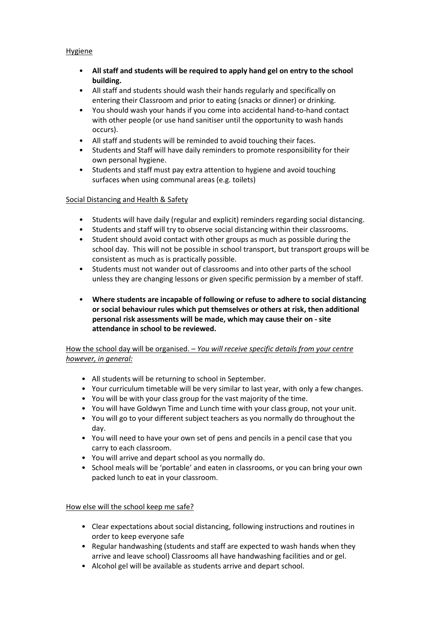#### **Hygiene**

- **All staff and students will be required to apply hand gel on entry to the school building.**
- All staff and students should wash their hands regularly and specifically on entering their Classroom and prior to eating (snacks or dinner) or drinking.
- You should wash your hands if you come into accidental hand-to-hand contact with other people (or use hand sanitiser until the opportunity to wash hands occurs).
- All staff and students will be reminded to avoid touching their faces.
- Students and Staff will have daily reminders to promote responsibility for their own personal hygiene.
- Students and staff must pay extra attention to hygiene and avoid touching surfaces when using communal areas (e.g. toilets)

#### Social Distancing and Health & Safety

- Students will have daily (regular and explicit) reminders regarding social distancing.
- Students and staff will try to observe social distancing within their classrooms.
- Student should avoid contact with other groups as much as possible during the school day. This will not be possible in school transport, but transport groups will be consistent as much as is practically possible.
- Students must not wander out of classrooms and into other parts of the school unless they are changing lessons or given specific permission by a member of staff.
- **Where students are incapable of following or refuse to adhere to social distancing or social behaviour rules which put themselves or others at risk, then additional personal risk assessments will be made, which may cause their on - site attendance in school to be reviewed.**

### How the school day will be organised. – *You will receive specific details from your centre however, in general:*

- All students will be returning to school in September.
- Your curriculum timetable will be very similar to last year, with only a few changes.
- You will be with your class group for the vast majority of the time.
- You will have Goldwyn Time and Lunch time with your class group, not your unit.
- You will go to your different subject teachers as you normally do throughout the day.
- You will need to have your own set of pens and pencils in a pencil case that you carry to each classroom.
- You will arrive and depart school as you normally do.
- School meals will be 'portable' and eaten in classrooms, or you can bring your own packed lunch to eat in your classroom.

#### How else will the school keep me safe?

- Clear expectations about social distancing, following instructions and routines in order to keep everyone safe
- Regular handwashing (students and staff are expected to wash hands when they arrive and leave school) Classrooms all have handwashing facilities and or gel.
- Alcohol gel will be available as students arrive and depart school.